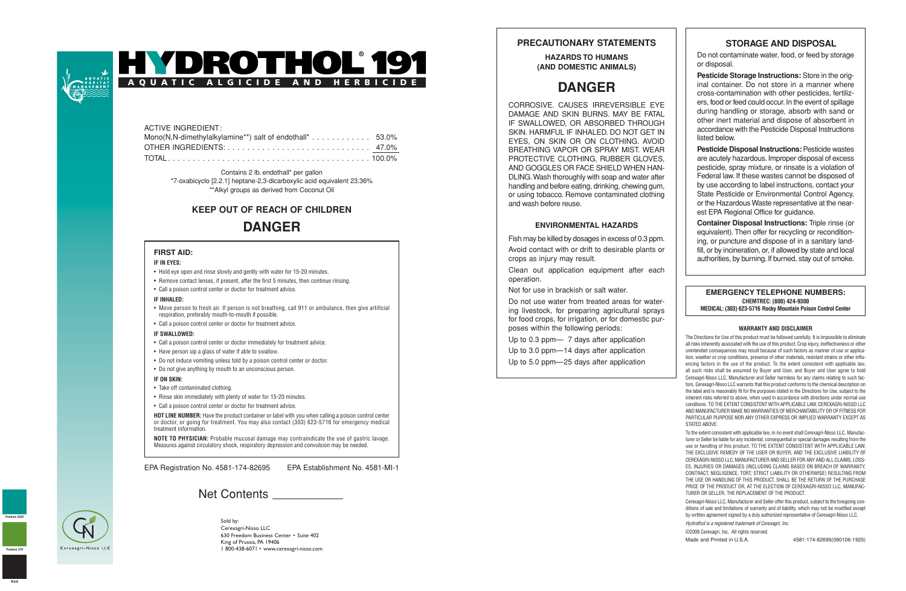



| ACTIVE INGREDIENT:                                                                |  |
|-----------------------------------------------------------------------------------|--|
| Mono(N,N-dimethylalkylamine**) salt of endothall* $\dots \dots \dots \dots$ 53.0% |  |
|                                                                                   |  |
|                                                                                   |  |

Contains 2 lb. endothall\* per gallon

\*7-oxabicyclo [2.2.1] heptane-2,3-dicarboxylic acid equivalent 23.36% \*\*Alkyl groups as derived from Coconut Oil

# **KEEP OUT OF REACH OF CHILDREN DANGER**

### **FIRST AID:**

#### **IF IN EYES:**

- Hold eye open and rinse slowly and gently with water for 15-20 minutes.
- Remove contact lenses, if present, after the first 5 minutes, then continue rinsing.
- Call a poison control center or doctor for treatment advice.

#### **IF INHALED:**

- Move person to fresh air. If person is not breathing, call 911 or ambulance, then give artificial respiration, preferably mouth-to-mouth if possible.
- Call a poison control center or doctor for treatment advice.

#### **IF SWALLOWED:**

- Call a poison control center or doctor immediately for treatment advice.
- Have person sip a glass of water if able to swallow.
- Do not induce vomiting unless told by a poison control center or doctor.
- Do not give anything by mouth to an unconscious person.

#### **IF ON SKIN:**

- Take off contaminated clothing.
- Rinse skin immediately with plenty of water for 15-20 minutes.
- Call a poison control center or doctor for treatment advice.

**HOT LINE NUMBER:** Have the product container or label with you when calling a poison control center or doctor, or going for treatment. You may also contact (303) 623-5716 for emergency medical treatment information.

**NOTE TO PHYSICIAN:** Probable mucosal damage may contraindicate the use of gastric lavage. Measures against circulatory shock, respiratory depression and convulsion may be needed.

EPA Registration No. 4581-174-82695 EPA Establishment No. 4581-MI-1

## Net Contents



Sold by: Cerexagri-Nisso LLC 630 Freedom Business Center • Suite 402 King of Prussia, PA 19406 1 800-438-6071 • www.cerexagri-nisso.com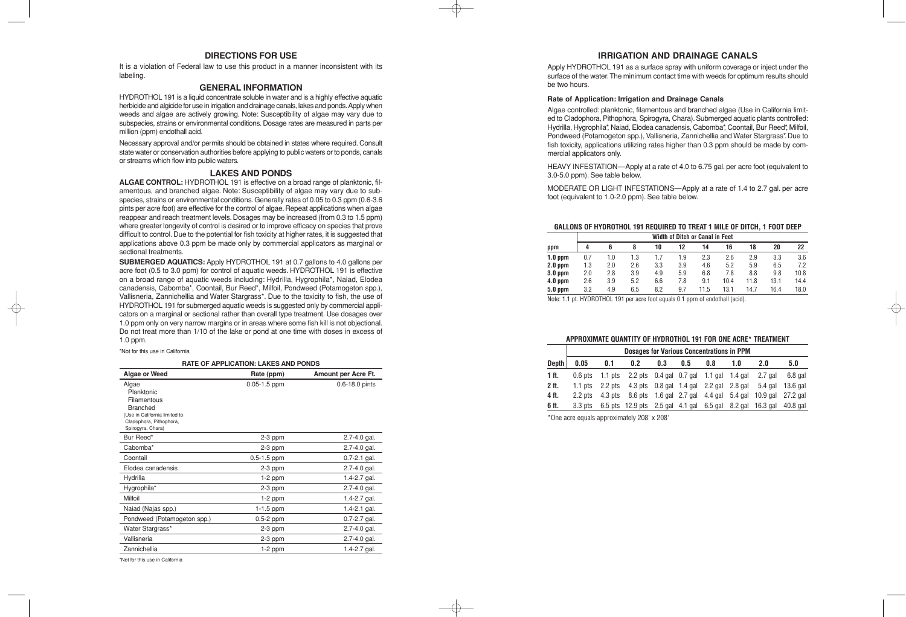### **DIRECTIONS FOR USE**

It is a violation of Federal law to use this product in a manner inconsistent with its labeling.

### **GENERAL INFORMATION**

HYDROTHOL 191 is a liquid concentrate soluble in water and is a highly effective aquatic herbicide and algicide for use in irrigation and drainage canals, lakes and ponds. Apply when weeds and algae are actively growing. Note: Susceptibility of algae may vary due to subspecies, strains or environmental conditions. Dosage rates are measured in parts per million (ppm) endothall acid.

Necessary approval and/or permits should be obtained in states where required. Consult state water or conservation authorities before applying to public waters or to ponds, canals or streams which flow into public waters.

### **LAKES AND PONDS**

**ALGAE CONTROL:** HYDROTHOL 191 is effective on a broad range of planktonic, filamentous, and branched algae. Note: Susceptibility of algae may vary due to subspecies, strains or environmental conditions. Generally rates of 0.05 to 0.3 ppm (0.6-3.6 pints per acre foot) are effective for the control of algae. Repeat applications when algae reappear and reach treatment levels. Dosages may be increased (from 0.3 to 1.5 ppm) where greater longevity of control is desired or to improve efficacy on species that prove difficult to control. Due to the potential for fish toxicity at higher rates, it is suggested that applications above 0.3 ppm be made only by commercial applicators as marginal or sectional treatments.

**SUBMERGED AQUATICS:** Apply HYDROTHOL 191 at 0.7 gallons to 4.0 gallons per acre foot (0.5 to 3.0 ppm) for control of aquatic weeds. HYDROTHOL 191 is effective on a broad range of aquatic weeds including: Hydrilla, Hygrophila\*, Naiad, Elodea canadensis, Cabomba\*, Coontail, Bur Reed\*, Milfoil, Pondweed (Potamogeton spp.), Vallisneria, Zannichellia and Water Stargrass\*. Due to the toxicity to fish, the use of HYDROTHOL 191 for submerged aquatic weeds is suggested only by commercial applicators on a marginal or sectional rather than overall type treatment. Use dosages over 1.0 ppm only on very narrow margins or in areas where some fish kill is not objectional. Do not treat more than 1/10 of the lake or pond at one time with doses in excess of 1.0 ppm.

**RATE OF APPLICATION: LAKES AND PONDS** 

| <b>Algae or Weed</b>          | Rate (ppm)       | Amount per Acre Ft. |
|-------------------------------|------------------|---------------------|
| Algae                         | $0.05 - 1.5$ ppm | 0.6-18.0 pints      |
| Planktonic<br>Filamentous     |                  |                     |
| <b>Branched</b>               |                  |                     |
| (Use in California limited to |                  |                     |
| Cladophora, Pithophora,       |                  |                     |
| Spirogyra, Chara)             |                  |                     |
| Bur Reed*                     | $2-3$ ppm        | $2.7 - 4.0$ gal.    |
| Cabomba*                      | 2-3 ppm          | $2.7 - 4.0$ gal.    |
| Coontail                      | $0.5 - 1.5$ ppm  | $0.7 - 2.1$ gal.    |
| Elodea canadensis             | 2-3 ppm          | $2.7 - 4.0$ gal.    |
| Hydrilla                      | $1-2$ ppm        | 1.4-2.7 gal.        |
| Hygrophila*                   | $2-3$ ppm        | $2.7 - 4.0$ gal.    |
| Milfoil                       | $1-2$ ppm        | 1.4-2.7 gal.        |
| Naiad (Najas spp.)            | 1-1.5 ppm        | 1.4-2.1 gal.        |
| Pondweed (Potamogeton spp.)   | 0.5-2 ppm        | $0.7 - 2.7$ gal.    |
| Water Stargrass*              | 2-3 ppm          | $2.7 - 4.0$ gal.    |
| Vallisneria                   | 2-3 ppm          | 2.7-4.0 gal.        |
| Zannichellia                  | $1-2$ ppm        | 1.4-2.7 gal.        |

\*Not for this use in California

\*Not for this use in California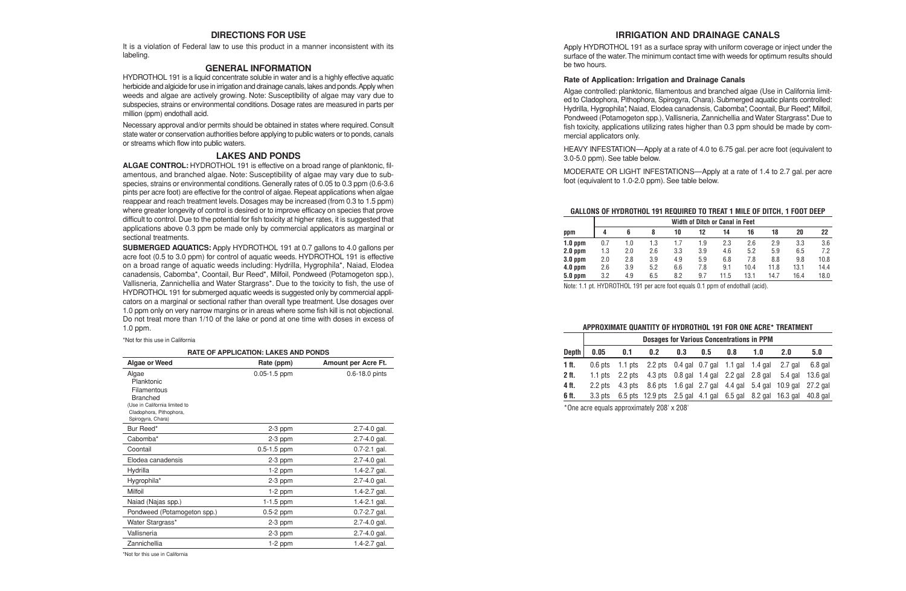### **IRRIGATION AND DRAINAGE CANALS**

Apply HYDROTHOL 191 as a surface spray with uniform coverage or inject under the surface of the water.The minimum contact time with weeds for optimum results should be two hours.

### **Rate of Application: Irrigation and Drainage Canals**

Algae controlled: planktonic, filamentous and branched algae (Use in California limited to Cladophora, Pithophora, Spirogyra, Chara). Submerged aquatic plants controlled: Hydrilla, Hygrophila\*, Naiad, Elodea canadensis, Cabomba\*, Coontail, Bur Reed\*, Milfoil, Pondweed (Potamogeton spp.), Vallisneria, Zannichellia and Water Stargrass\*. Due to fish toxicity, applications utilizing rates higher than 0.3 ppm should be made by commercial applicators only.

HEAVY INFESTATION—Apply at a rate of 4.0 to 6.75 gal. per acre foot (equivalent to 3.0-5.0 ppm). See table below.

MODERATE OR LIGHT INFESTATIONS—Apply at a rate of 1.4 to 2.7 gal. per acre foot (equivalent to 1.0-2.0 ppm). See table below.

### **GALLONS OF HYDROTHOL 191 REQUIRED TO TREAT 1 MILE OF DITCH, 1 FOOT DEEP**

|           | <b>Width of Ditch or Canal in Feet</b> |     |     |     |     |      |      |      |      |      |
|-----------|----------------------------------------|-----|-----|-----|-----|------|------|------|------|------|
| ppm       |                                        | 6   |     | 10  | 12  | 14   | 16   | 18   | 20   | 22   |
| $1.0$ ppm | 0.7                                    | 1.0 | 1.3 | 1.7 | 1.9 | 2.3  | 2.6  | 2.9  | 3.3  | 3.6  |
| $2.0$ ppm | 1.3                                    | 2.0 | 2.6 | 3.3 | 3.9 | 4.6  | 5.2  | 5.9  | 6.5  | 7.2  |
| $3.0$ ppm | 2.0                                    | 2.8 | 3.9 | 4.9 | 5.9 | 6.8  | 7.8  | 8.8  | 9.8  | 10.8 |
| $4.0$ ppm | 2.6                                    | 3.9 | 5.2 | 6.6 | 7.8 | 9.1  | 10.4 | 11.8 | 13.1 | 14.4 |
| $5.0$ ppm | 3.2                                    | 4.9 | 6.5 | 8.2 | 9.7 | 11.5 | 13.1 | 14.7 | 16.4 | 18.0 |

Note: 1.1 pt. HYDROTHOL 191 per acre foot equals 0.1 ppm of endothall (acid).

#### **APPROXIMATE QUANTITY OF HYDROTHOL 191 FOR ONE ACRE\* TREATMENT**

|           | <b>Dosages for Various Concentrations in PPM</b> |     |                                                                                                    |     |     |     |     |     |          |
|-----------|--------------------------------------------------|-----|----------------------------------------------------------------------------------------------------|-----|-----|-----|-----|-----|----------|
| Depth $ $ | 0.05                                             | 0.1 | 0.2 <sub>2</sub>                                                                                   | 0.3 | 0.5 | 0.8 | 1.0 | 2.0 | 5.0      |
| 1 ft.     |                                                  |     | 0.6 pts 1.1 pts 2.2 pts 0.4 gal 0.7 gal 1.1 gal 1.4 gal 2.7 gal                                    |     |     |     |     |     | 6.8 gal  |
| 2 ft.     |                                                  |     | 1.1 pts $\,$ 2.2 pts $\,$ 4.3 pts $\,$ 0.8 gal $\,$ 1.4 gal $\,$ 2.2 gal $\,$ 2.8 gal $\,$ 5.4 gal |     |     |     |     |     | 13.6 gal |
| 4 ft.     |                                                  |     | 2.2 pts 4.3 pts 8.6 pts 1.6 gal 2.7 gal 4.4 gal 5.4 gal 10.9 gal 27.2 gal                          |     |     |     |     |     |          |
| 6 ft.     |                                                  |     | 3.3 pts 6.5 pts 12.9 pts 2.5 gal 4.1 gal 6.5 gal 8.2 gal 16.3 gal 40.8 gal                         |     |     |     |     |     |          |

\*One acre equals approximately 208' x 208'